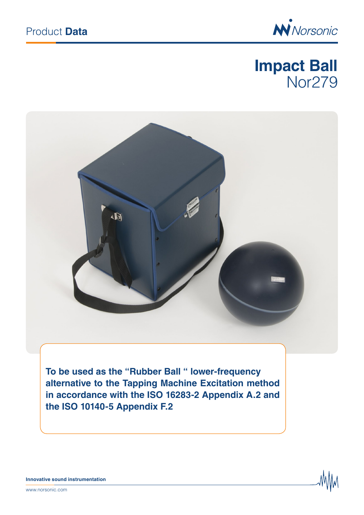

# **Impact Ball** Nor279



**To be used as the "Rubber Ball " lower-frequency alternative to the Tapping Machine Excitation method in accordance with the ISO 16283-2 Appendix A.2 and the ISO 10140-5 Appendix F.2**



**Innovative sound instrumentation**